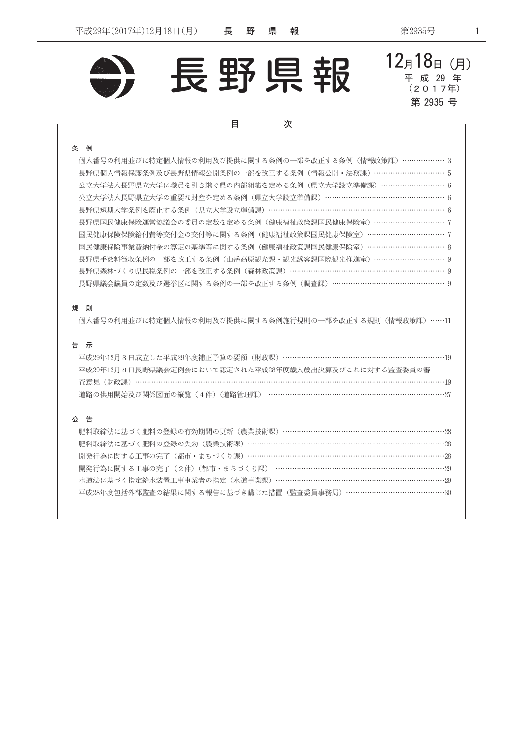

 $12_A18_B$  (月) 長野県報 平 成 29 年  $(20174)$ 第 2935 号 目 次 個人番号の利用並びに特定個人情報の利用及び提供に関する条例の一部を改正する条例(情報政策課) ………………3 長野県個人情報保護条例及び長野県情報公開条例の一部を改正する条例(情報公開・法務課) ………………………… 5 公立大学法人長野県立大学に職員を引き継ぐ県の内部組織を定める条例(県立大学設立準備課)………………………6 公立大学法人長野県立大学の重要な財産を定める条例(県立大学設立準備課)……………………………………………… 6 長野県短期大学条例を廃止する条例(県立大学設立準備課)…………………………………………………………………… 6 長野県国民健康保険運営協議会の委員の定数を定める条例(健康福祉政策課国民健康保険室)………………………… 7 国民健康保険保険給付費等交付金の交付等に関する条例(健康福祉政策課国民健康保険室) ……………………………………………?

国民健康保険事業費納付金の算定の基準等に関する条例(健康福祉政策課国民健康保険室)…………………………… 8 長野県手数料徴収条例の一部を改正する条例 (山岳高原観光課・観光誘客課国際観光推進室) ………………………… 9 長野県森林づくり県民税条例の一部を改正する条例 (森林政策課) …………………………………………………………… 9

## 規 則

条例

個人番号の利用並びに特定個人情報の利用及び提供に関する条例施行規則の一部を改正する規則(情報政策課)……11

長野県議会議員の定数及び選挙区に関する条例の一部を改正する条例 (調査課) …………………………………………… 9

## 告 示

| 平成29年12月8日成立した平成29年度補正予算の要領(財政課) ……………………………………………………………19 |  |
|------------------------------------------------------------|--|
| 平成29年12月8日長野県議会定例会において認定された平成28年度歳入歳出決算及びこれに対する監査委員の審      |  |
|                                                            |  |
|                                                            |  |

## 公告

| 肥料取締法に基づく肥料の登録の有効期間の更新(農業技術課)………………………………………………………………28    |
|------------------------------------------------------------|
| 肥料取締法に基づく肥料の登録の失効(農業技術課)……………………………………………………………………………28    |
| 開発行為に関する工事の完了(都市・まちづくり課)…………………………………………………………………………………28  |
| 開発行為に関する工事の完了(2件)(都市・まちづくり課) ………………………………………………………………………29 |
| 水道法に基づく指定給水装置工事事業者の指定(水道事業課)…………………………………………………………………29    |
| 平成28年度包括外部監査の結果に関する報告に基づき講じた措置(監査委員事務局)……………………………………30    |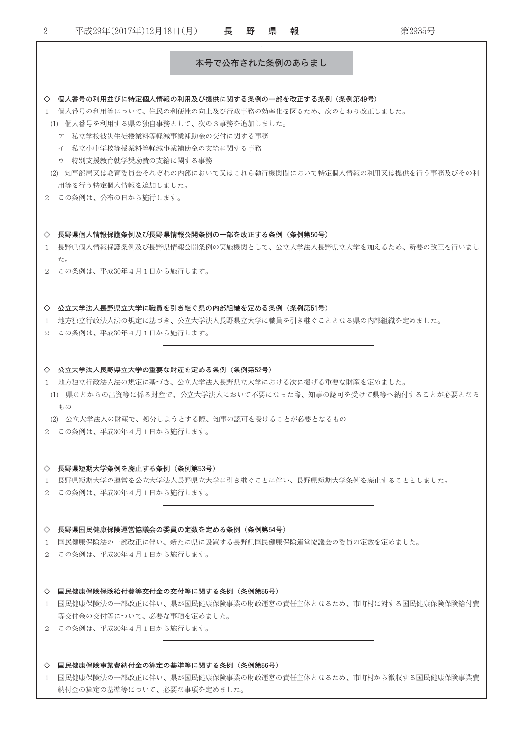| $\overline{2}$    | 平成29年(2017年)12月18日(月)                                                                                                                                                                                                                                                                         | 長               | 野 | 県 | 報 | 第2935号                                                          |
|-------------------|-----------------------------------------------------------------------------------------------------------------------------------------------------------------------------------------------------------------------------------------------------------------------------------------------|-----------------|---|---|---|-----------------------------------------------------------------|
|                   |                                                                                                                                                                                                                                                                                               | 本号で公布された条例のあらまし |   |   |   |                                                                 |
|                   |                                                                                                                                                                                                                                                                                               |                 |   |   |   |                                                                 |
|                   | ◇ 個人番号の利用並びに特定個人情報の利用及び提供に関する条例の一部を改正する条例(条例第49号)<br>1 個人番号の利用等について、住民の利便性の向上及び行政事務の効率化を図るため、次のとおり改正しました。<br>(1) 個人番号を利用する県の独自事務として、次の3事務を追加しました。<br>ア 私立学校被災生徒授業料等軽減事業補助金の交付に関する事務<br>イ 私立小中学校等授業料等軽減事業補助金の支給に関する事務<br>ウ 特別支援教育就学奨励費の支給に関する事務<br>用等を行う特定個人情報を追加しました。<br>2 この条例は、公布の日から施行します。 |                 |   |   |   | (2) 知事部局又は教育委員会それぞれの内部において又はこれら執行機関間において特定個人情報の利用又は提供を行う事務及びその利 |
|                   |                                                                                                                                                                                                                                                                                               |                 |   |   |   |                                                                 |
| 1.                | ◇ 長野県個人情報保護条例及び長野県情報公開条例の一部を改正する条例(条例第50号)                                                                                                                                                                                                                                                    |                 |   |   |   | 長野県個人情報保護条例及び長野県情報公開条例の実施機関として、公立大学法人長野県立大学を加えるため、所要の改正を行いまし    |
|                   | た。<br>2 この条例は、平成30年4月1日から施行します。                                                                                                                                                                                                                                                               |                 |   |   |   |                                                                 |
| 1                 | ◇ 公立大学法人長野県立大学に職員を引き継ぐ県の内部組織を定める条例(条例第51号)<br>- 地方独立行政法人法の規定に基づき、公立大学法人長野県立大学に職員を引き継ぐこととなる県の内部組織を定めました。<br>2 この条例は、平成30年4月1日から施行します。                                                                                                                                                          |                 |   |   |   |                                                                 |
|                   | ◇ 公立大学法人長野県立大学の重要な財産を定める条例(条例第52号)<br>1 地方独立行政法人法の規定に基づき、公立大学法人長野県立大学における次に掲げる重要な財産を定めました。<br>もの                                                                                                                                                                                              |                 |   |   |   | (1) 県などからの出資等に係る財産で、公立大学法人において不要になった際、知事の認可を受けて県等へ納付することが必要となる  |
|                   | (2) 公立大学法人の財産で、処分しようとする際、知事の認可を受けることが必要となるもの<br>2 この条例は、平成30年4月1日から施行します。                                                                                                                                                                                                                     |                 |   |   |   |                                                                 |
|                   | ◇ 長野県短期大学条例を廃止する条例(条例第53号)<br>1 長野県短期大学の運営を公立大学法人長野県立大学に引き継ぐことに伴い、長野県短期大学条例を廃止することとしました。<br>2 この条例は、平成30年4月1日から施行します。                                                                                                                                                                         |                 |   |   |   |                                                                 |
| 1                 | ◇ 長野県国民健康保険運営協議会の委員の定数を定める条例(条例第54号)<br>- 国民健康保険法の一部改正に伴い、新たに県に設置する長野県国民健康保険運営協議会の委員の定数を定めました。<br>2 この条例は、平成30年4月1日から施行します。                                                                                                                                                                   |                 |   |   |   |                                                                 |
| $\leftrightarrow$ | 国民健康保険保険給付費等交付金の交付等に関する条例(条例第55号)<br>等交付金の交付等について、必要な事項を定めました。<br>2 この条例は、平成30年4月1日から施行します。                                                                                                                                                                                                   |                 |   |   |   | 1 国民健康保険法の一部改正に伴い、県が国民健康保険事業の財政運営の責任主体となるため、市町村に対する国民健康保険保険給付費  |
|                   | ◇ 国民健康保険事業費納付金の算定の基準等に関する条例(条例第56号)                                                                                                                                                                                                                                                           |                 |   |   |   |                                                                 |

1 国民健康保険法の一部改正に伴い、県が国民健康保険事業の財政運営の責任主体となるため、市町村から徴収する国民健康保険事業費 納付金の算定の基準等について、必要な事項を定めました。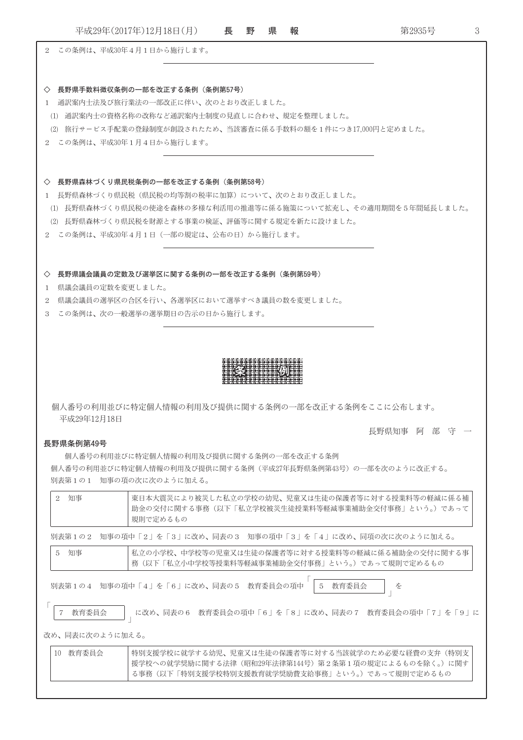長野県 平成29年(2017年)12月18日(月) 3 報 第2935号 2 この条例は、平成30年4月1日から施行します。 ◇ 長野県手数料徴収条例の一部を改正する条例 (条例第57号) 1 通訳案内士法及び旅行業法の一部改正に伴い、次のとおり改正しました。 (1) 通訳案内士の資格名称の改称など通訳案内士制度の見直しに合わせ、規定を整理しました。 (2) 旅行サービス手配業の登録制度が創設されたため、当該審査に係る手数料の額を1件につき17,000円と定めました。 2 この条例は、平成30年1月4日から施行します。 ◇ 長野県森林づくり県民税条例の一部を改正する条例 (条例第58号) 1 長野県森林づくり県民税(県民税の均等割の税率に加算)について、次のとおり改正しました。 (1) 長野県森林づくり県民税の使途を森林の多様な利活用の推進等に係る施策について拡充し、その適用期間を5年間延長しました。 (2) 長野県森林づくり県民税を財源とする事業の検証、評価等に関する規定を新たに設けました。 2 この条例は、平成30年4月1日(一部の規定は、公布の日)から施行します。 ◇ 長野県議会議員の定数及び選挙区に関する条例の一部を改正する条例 (条例第59号) 1 県議会議員の定数を変更しました。 2 県議会議員の選挙区の合区を行い、各選挙区において選挙すべき議員の数を変更しました。 3 この条例は、次の一般選挙の選挙期日の告示の日から施行します。 個人番号の利用並びに特定個人情報の利用及び提供に関する条例の一部を改正する条例をここに公布します。 平成29年12月18日 長野県知事 阿 部 守 一 長野県条例第49号 個人番号の利用並びに特定個人情報の利用及び提供に関する条例の一部を改正する条例 個人番号の利用並びに特定個人情報の利用及び提供に関する条例(平成27年長野県条例第43号)の一部を次のように改正する。 別表第1の1 知事の項の次に次のように加える。 東日本大震災により被災した私立の学校の幼児、児童又は生徒の保護者等に対する授業料等の軽減に係る補 2 知事 助金の交付に関する事務(以下「私立学校被災生徒授業料等軽減事業補助金交付事務」という。)であって 規則で定めるもの 別表第1の2 知事の項中「2」を「3」に改め、同表の3 知事の項中「3」を「4」に改め、同項の次に次のように加える。 5 知事 私立の小学校、中学校等の児童又は生徒の保護者等に対する授業料等の軽減に係る補助金の交付に関する事 務(以下「私立小中学校等授業料等軽減事業補助金交付事務」という。)であって規則で定めるもの 5 教育委員会 別表第1の4 知事の項中「4」を「6」に改め、同表の5 教育委員会の項中 7 教育委員会 に改め、同表の6 教育委員会の項中「6」を「8」に改め、同表の7 教育委員会の項中「7」を「9」に 改め、同表に次のように加える。

10 教育委員会 特別支援学校に就学する幼児、児童又は生徒の保護者等に対する当該就学のため必要な経費の支弁(特別支 援学校への就学奨励に関する法律(昭和29年法律第144号)第2条第1項の規定によるものを除く。)に関す る事務(以下「特別支援学校特別支援教育就学奨励費支給事務」という。)であって規則で定めるもの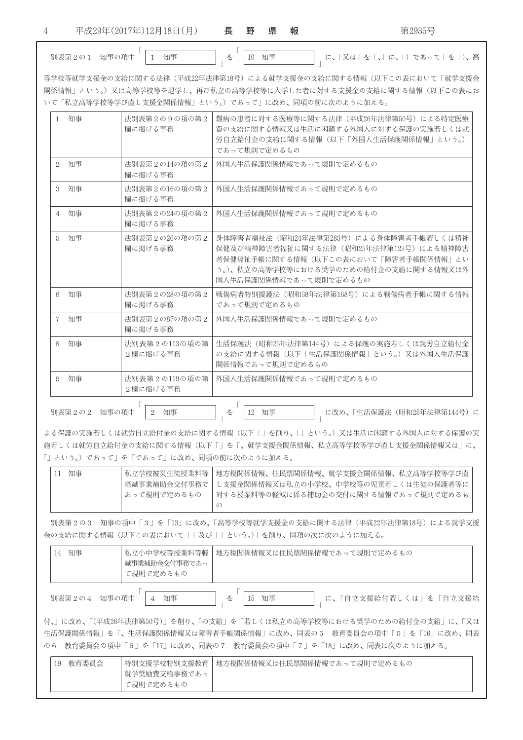$\overline{4}$ 

平成29年(2017年)12月18日(月)

長野 県 報

別表第2の1 知事の項中 1 知事

を

10 知事

**」 に、「又は」を「、」に、「)であって」を「)、高** 

等学校等就学支援金の支給に関する法律(平成22年法律第18号)による就学支援金の支給に関する情報(以下この表において「就学支援金 関係情報」という。)又は高等学校等を退学し、再び私立の高等学校等に入学した者に対する支援金の支給に関する情報(以下この表にお いて「私立高等学校等学び直し支援金関係情報」という。)であって」に改め、同項の前に次のように加える。

| 知事<br>1.             | 法別表第2の9の項の第2<br>欄に掲げる事務       | 難病の患者に対する医療等に関する法律(平成26年法律第50号)による特定医療<br>費の支給に関する情報又は生活に困窮する外国人に対する保護の実施若しくは就<br>労自立給付金の支給に関する情報(以下「外国人生活保護関係情報」という。)<br>であって規則で定めるもの                                                      |  |  |
|----------------------|-------------------------------|---------------------------------------------------------------------------------------------------------------------------------------------------------------------------------------------|--|--|
| 知事<br>2              | 法別表第2の14の項の第2<br>欄に掲げる事務      | 外国人生活保護関係情報であって規則で定めるもの                                                                                                                                                                     |  |  |
| 知事<br>3              | 法別表第2の16の項の第2<br>欄に掲げる事務      | 外国人生活保護関係情報であって規則で定めるもの                                                                                                                                                                     |  |  |
| 知事<br>$\overline{4}$ | 法別表第2の24の項の第2<br>欄に掲げる事務      | 外国人生活保護関係情報であって規則で定めるもの                                                                                                                                                                     |  |  |
| 知事<br>5              | 法別表第2の26の項の第2<br>欄に掲げる事務      | 身体障害者福祉法(昭和24年法律第283号)による身体障害者手帳若しくは精神<br>保健及び精神障害者福祉に関する法律(昭和25年法律第123号)による精神障害<br>者保健福祉手帳に関する情報(以下この表において「障害者手帳関係情報」とい<br>う。)、私立の高等学校等における奨学のための給付金の支給に関する情報又は外<br>国人生活保護関係情報であって規則で定めるもの |  |  |
| 知事<br>6              | 法別表第2の28の項の第2<br>欄に掲げる事務      | 戦傷病者特別援護法(昭和38年法律第168号)による戦傷病者手帳に関する情報<br>であって規則で定めるもの                                                                                                                                      |  |  |
| 知事<br>$\mathbf{7}$   | 法別表第2の87の項の第2<br>欄に掲げる事務      | 外国人生活保護関係情報であって規則で定めるもの                                                                                                                                                                     |  |  |
| 知事<br>8              | 法別表第2の113の項の第<br>2欄に掲げる事務     | 生活保護法(昭和25年法律第144号)による保護の実施若しくは就労自立給付金<br>の支給に関する情報(以下「生活保護関係情報」という。)又は外国人生活保護<br>関係情報であって規則で定めるもの                                                                                          |  |  |
| 知事<br>9              | 法別表第2の119の項の第<br>2欄に掲げる事務     | 外国人生活保護関係情報であって規則で定めるもの                                                                                                                                                                     |  |  |
| 別表第2の2               | 知事<br>知事の項中<br>$\overline{2}$ | を<br>知事<br>に改め、「生活保護法 (昭和25年法律第144号)に<br>12                                                                                                                                                 |  |  |

よる保護の実施若しくは就労自立給付金の支給に関する情報(以下「」を削り、「」という。)又は生活に困窮する外国人に対する保護の実 施若しくは就労自立給付金の支給に関する情報(以下「」を「、就学支援金関係情報、私立高等学校等学び直し支援金関係情報又は」に、 「」という。)であって」を「であって」に改め、同項の前に次のように加える。

| 知事 |               | 私立学校被災生徒授業料等 地方税関係情報、住民票関係情報、就学支援金関係情報、私立高等学校等学び直 |
|----|---------------|---------------------------------------------------|
|    | 軽減事業補助金交付事務で丨 | し支援金関係情報又は私立の小学校、中学校等の児童若しくは生徒の保護者等に              |
|    | あって規則で定めるもの   | 対する授業料等の軽減に係る補助金の交付に関する情報であって規則で定めるも              |
|    |               |                                                   |

別表第2の3 知事の項中「3」を「13」に改め、「高等学校等就学支援金の支給に関する法律(平成22年法律第18号)による就学支援 金の支給に関する情報(以下この表において「|及び「|という。)|を削り、同項の次に次のように加える。

| 知事<br>14     | 私立小中学校等授業料等軽<br>減事業補助金交付事務であっ<br>て規則で定めるもの | │ 地方税関係情報又は住民票関係情報であって規則で定めるもの                                                                                                                                                                                                                                                                            |  |  |
|--------------|--------------------------------------------|-----------------------------------------------------------------------------------------------------------------------------------------------------------------------------------------------------------------------------------------------------------------------------------------------------------|--|--|
| 別表第2の4 知事の項中 | 知事                                         | ┃ に、「自立支援給付若しくは」を「自立支援給<br>  15 知事                                                                                                                                                                                                                                                                        |  |  |
|              |                                            | 付、」に改め、「(平成26年法律第50号)」を削り、「の支給」を「若しくは私立の高等学校等における奨学のための給付金の支給」に、「又は<br>$\mathcal{A}$ , we recompled that the contraction of the contraction of the contraction of the contraction of the contraction of the contraction of the contraction of the contraction of the contraction of the contraction of th |  |  |

生活保護関係情報」を「、生活保護関係情報又は障害者手帳関係情報」に改め、同表の5 教育委員会の項中「5」を「16」に改め、同表 の6 教育委員会の項中「6」を「17」に改め、同表の7 教育委員会の項中「7」を「18」に改め、同表に次のように加える。

| 教育委員会<br>19 | 特別支援学校特別支援教育 | 地方税関係情報又は住民票関係情報であって規則で定めるもの |
|-------------|--------------|------------------------------|
|             | 就学奨励費支給事務であっ |                              |
|             | て規則で定めるもの    |                              |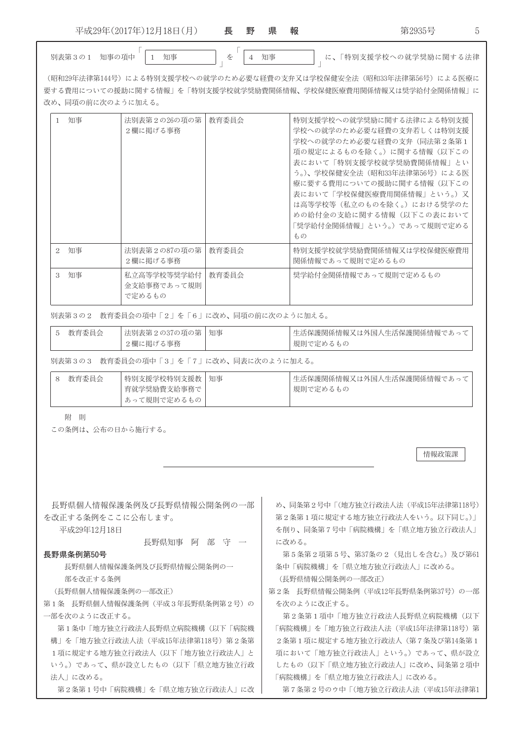| 17年)<br>$-$<br>$\rightarrow$ $\sim$ $\rightarrow$<br>201<br>平成2。<br>−<br>.,<br>四土<br>18 E<br><u>+ 4</u> | 長<br>∼                   | 里<br>وتنقلت | 旧<br>ᅲ | 報<br>____ | --<br>--<br>.<br>14JUU | $\overline{\phantom{0}}$ |
|---------------------------------------------------------------------------------------------------------|--------------------------|-------------|--------|-----------|------------------------|--------------------------|
|                                                                                                         | $\overline{\phantom{a}}$ |             |        |           |                        |                          |

 $\perp$ を

A '( '( M3defghijkh}~|:C

情報政策課

(昭和29年法律第144号)による特別支援学校への就学のため必要な経費の支弁又は学校保健安全法(昭和33年法律第56号)による医療に 要する費用についての援助に関する情報」を「特別支援学校就学奨励費関係情報、学校保健医療費用関係情報又は奨学給付金関係情報」に 改め、同項の前に次のように加える。

| 知事                | 法別表第2の26の項の第<br>2欄に掲げる事務             | 教育委員会 | 特別支援学校への就学奨励に関する法律による特別支援<br>学校への就学のため必要な経費の支弁若しくは特別支援<br>学校への就学のため必要な経費の支弁(同法第2条第1<br>項の規定によるものを除く。)に関する情報(以下この<br> 表において「特別支援学校就学奨励費関係情報」とい<br>う。)、学校保健安全法(昭和33年法律第56号)による医<br>療に要する費用についての援助に関する情報(以下この<br> 表において「学校保健医療費用関係情報」という。)又<br>は高等学校等(私立のものを除く。)における奨学のた<br>めの給付金の支給に関する情報(以下この表において<br>「奨学給付金関係情報」という。)であって規則で定める<br>もの |
|-------------------|--------------------------------------|-------|---------------------------------------------------------------------------------------------------------------------------------------------------------------------------------------------------------------------------------------------------------------------------------------------------------------------------------------|
| 知事<br>$2^{\circ}$ | 法別表第2の87の項の第<br>2欄に掲げる事務             | 教育委員会 | 特別支援学校就学奨励費関係情報又は学校保健医療費用<br>関係情報であって規則で定めるもの                                                                                                                                                                                                                                                                                         |
| 知事<br>3           | 私立高等学校等奨学給付<br>金支給事務であって規則<br>で定めるもの | 教育委員会 | 奨学給付金関係情報であって規則で定めるもの                                                                                                                                                                                                                                                                                                                 |

別表第3の2 教育委員会の項中「2」を「6」に改め、同項の前に次のように加える。

| 教育委員会 | 法別表第2の37の項の第   知事 | 生活保護関係情報又は外国人生活保護関係情報であって |
|-------|-------------------|---------------------------|
|       | 2欄に掲げる事務          | 規則で定めるもの                  |

別表第3の3 教育委員会の項中「3」を「7」に改め、同表に次のように加える。

附 則

この条例は、公布の日から施行する。

別表第3の1 知事の項中

| 長野県個人情報保護条例及び長野県情報公開条例の一部            | め、同条第2号中「(地方独立行政法人法(平成15年法律第118号)  |
|--------------------------------------|------------------------------------|
| を改正する条例をここに公布します。                    | 第2条第1項に規定する地方独立行政法人をいう。以下同じ。)      |
| 平成29年12月18日                          | を削り、同条第7号中「病院機構」を「県立地方独立行政法人」      |
| 部守一<br>長野県知事<br>阿                    | に改める。                              |
| 長野県条例第50号                            | 第5条第2項第5号、第37条の2 (見出しを含む。)及び第61    |
| 長野県個人情報保護条例及び長野県情報公開条例の一             | 条中「病院機構」を「県立地方独立行政法人」に改める。         |
| 部を改正する条例                             | (長野県情報公開条例の一部改正)                   |
| (長野県個人情報保護条例の一部改正)                   | 第2条 長野県情報公開条例 (平成12年長野県条例第37号) の一部 |
| 第1条 長野県個人情報保護条例(平成3年長野県条例第2号)の       | を次のように改正する。                        |
| 一部を次のように改正する。                        | 第2条第1項中「地方独立行政法人長野県立病院機構(以下        |
| 第1条中「地方独立行政法人長野県立病院機構(以下「病院機         | 「病院機構」を「地方独立行政法人法(平成15年法律第118号)第   |
| - を「地方独立行政法人法(平成15年法律第118号)第2条第<br>構 | 2条第1項に規定する地方独立行政法人(第7条及び第14条第1     |
| 1項に規定する地方独立行政法人(以下「地方独立行政法人」と        | 項において「地方独立行政法人」という。)であって、県が設立      |
| いう。)であって、県が設立したもの(以下「県立地方独立行政        | したもの(以下「県立地方独立行政法人」に改め、同条第2項中      |
| 法人」に改める。                             | 「病院機構」を「県立地方独立行政法人」に改める。           |
| 第2条第1号中「病院機構」を「県立地方独立行政法人」に改         | 第7条第2号のウ中「(地方独立行政法人法(平成15年法律第1     |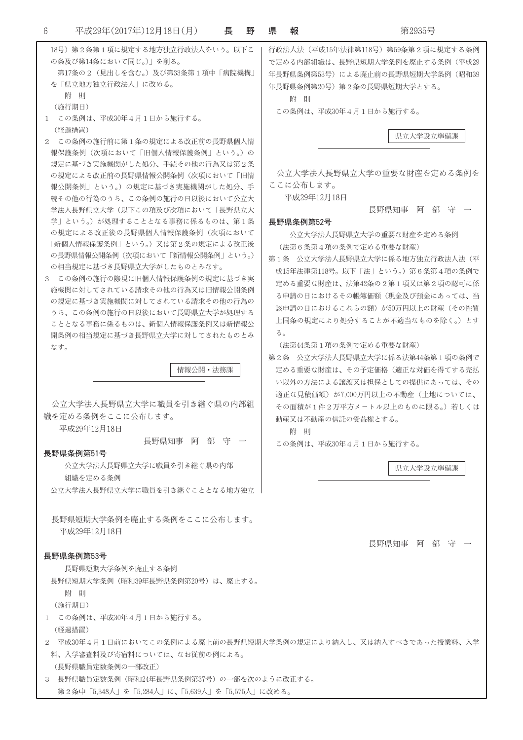| 18号)第2条第1項に規定する地方独立行政法人をいう。以下こ<br>の条及び第14条において同じ。)  を削る。<br>第17条の2 (見出しを含む。)及び第33条第1項中「病院機構」<br>を「県立地方独立行政法人」に改める。<br>附 則<br>(施行期日)<br>この条例は、平成30年4月1日から施行する。<br>$\mathbf{1}$                                                                                                                                                                                                                                                                                                                                                                                                                                                                                                                                                                                                      | 行政法人法(平成15年法律第118号)第59条第2項に規定する条例<br>で定める内部組織は、長野県短期大学条例を廃止する条例(平成29<br>年長野県条例第53号)による廃止前の長野県短期大学条例 (昭和39<br>年長野県条例第20号)第2条の長野県短期大学とする。<br>附則<br>この条例は、平成30年4月1日から施行する。                                                                                                                                                                                                                                                                                                                                                                                                                                                                          |
|------------------------------------------------------------------------------------------------------------------------------------------------------------------------------------------------------------------------------------------------------------------------------------------------------------------------------------------------------------------------------------------------------------------------------------------------------------------------------------------------------------------------------------------------------------------------------------------------------------------------------------------------------------------------------------------------------------------------------------------------------------------------------------|--------------------------------------------------------------------------------------------------------------------------------------------------------------------------------------------------------------------------------------------------------------------------------------------------------------------------------------------------------------------------------------------------------------------------------------------------------------------------------------------------------------------------------------------------------------------------------------------------------------------------------------------------|
| (経過措置)<br>2 この条例の施行前に第1条の規定による改正前の長野県個人情<br>報保護条例(次項において「旧個人情報保護条例」という。)の<br>規定に基づき実施機関がした処分、手続その他の行為又は第2条<br>の規定による改正前の長野県情報公開条例(次項において「旧情<br>報公開条例」という。)の規定に基づき実施機関がした処分、手<br>続その他の行為のうち、この条例の施行の日以後において公立大<br>学法人長野県立大学(以下この項及び次項において「長野県立大<br>学」という。)が処理することとなる事務に係るものは、第1条<br>の規定による改正後の長野県個人情報保護条例(次項において<br>「新個人情報保護条例」という。)又は第2条の規定による改正後<br>の長野県情報公開条例(次項において「新情報公開条例」という。)<br>の相当規定に基づき長野県立大学がしたものとみなす。<br>3 この条例の施行の際現に旧個人情報保護条例の規定に基づき実<br>施機関に対してされている請求その他の行為又は旧情報公開条例<br>の規定に基づき実施機関に対してされている請求その他の行為の<br>うち、この条例の施行の日以後において長野県立大学が処理する<br>こととなる事務に係るものは、新個人情報保護条例又は新情報公<br>開条例の相当規定に基づき長野県立大学に対してされたものとみ<br>なす。<br>情報公開・法務課<br>公立大学法人長野県立大学に職員を引き継ぐ県の内部組<br>織を定める条例をここに公布します。<br>平成29年12月18日<br>長野県知事 阿 部 守 一<br>長野県条例第51号<br>公立大学法人長野県立大学に職員を引き継ぐ県の内部<br>組織を定める条例 | 県立大学設立準備課<br>公立大学法人長野県立大学の重要な財産を定める条例を<br>ここに公布します。<br>平成29年12月18日<br>長野県知事の阿部部(守) 一<br>長野県条例第52号<br>公立大学法人長野県立大学の重要な財産を定める条例<br>(法第6条第4項の条例で定める重要な財産)<br>第1条 公立大学法人長野県立大学に係る地方独立行政法人法(平<br>成15年法律第118号。以下「法」という。)第6条第4項の条例で<br>定める重要な財産は、法第42条の2第1項又は第2項の認可に係<br>る申請の日におけるその帳簿価額(現金及び預金にあっては、当<br>該申請の日におけるこれらの額)が50万円以上の財産(その性質<br>上同条の規定により処分することが不適当なものを除く。)とす<br>る。<br>(法第44条第1項の条例で定める重要な財産)<br>第2条 公立大学法人長野県立大学に係る法第44条第1項の条例で<br>定める重要な財産は、その予定価格(適正な対価を得てする売払<br>い以外の方法による譲渡又は担保としての提供にあっては、その<br>適正な見積価額)が7,000万円以上の不動産(土地については、<br>その面積が1件2万平方メートル以上のものに限る。)若しくは<br> 動産又は不動産の信託の受益権とする。<br>附 即<br>この条例は、平成30年4月1日から施行する。<br>県立大学設立準備課 |
| 公立大学法人長野県立大学に職員を引き継ぐこととなる地方独立.                                                                                                                                                                                                                                                                                                                                                                                                                                                                                                                                                                                                                                                                                                                                                     |                                                                                                                                                                                                                                                                                                                                                                                                                                                                                                                                                                                                                                                  |
| 長野県短期大学条例を廃止する条例をここに公布します。<br>平成29年12月18日                                                                                                                                                                                                                                                                                                                                                                                                                                                                                                                                                                                                                                                                                                                                          | 長野県知事 阿 部<br>一寸千                                                                                                                                                                                                                                                                                                                                                                                                                                                                                                                                                                                                                                 |
| 長野県条例第53号<br>長野県短期大学条例を廃止する条例<br>長野県短期大学条例(昭和39年長野県条例第20号)は、廃止する。<br>附 則<br>(施行期日)<br>1 この条例は、平成30年4月1日から施行する。<br>(経過措置)<br>料、入学審査料及び寄宿料については、なお従前の例による。<br>(長野県職員定数条例の一部改正)<br>3 長野県職員定数条例(昭和24年長野県条例第37号)の一部を次のように改正する。                                                                                                                                                                                                                                                                                                                                                                                                                                                                                                                                                          | 2 平成30年4月1日前においてこの条例による廃止前の長野県短期大学条例の規定により納入し、又は納入すべきであった授業料、入学                                                                                                                                                                                                                                                                                                                                                                                                                                                                                                                                                                                  |
| 第2条中「5,348人」を「5,284人」に、「5,639人」を「5,575人」に改める。                                                                                                                                                                                                                                                                                                                                                                                                                                                                                                                                                                                                                                                                                                                                      |                                                                                                                                                                                                                                                                                                                                                                                                                                                                                                                                                                                                                                                  |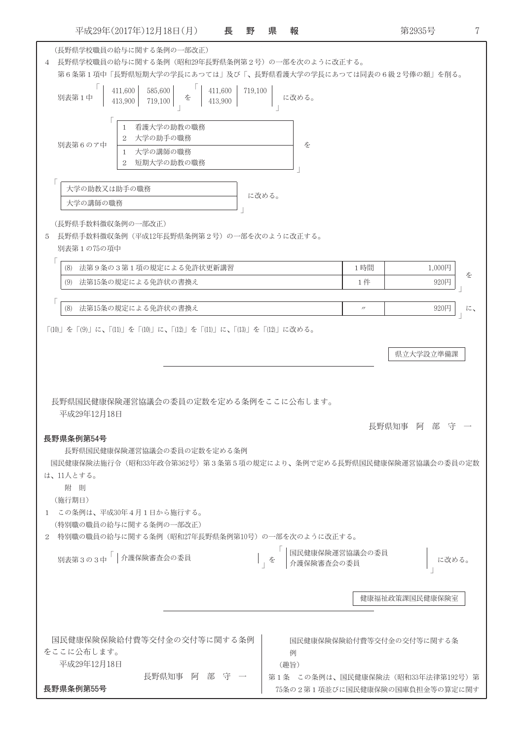第2935号 7 (長野県学校職員の給与に関する条例の一部改正) 4 長野県学校職員の給与に関する条例(昭和29年長野県条例第2号)の一部を次のように改正する。 第6条第1項中「長野県短期大学の学長にあつては」及び「、長野県看護大学の学長にあつては同表の6級2号俸の額」を削る。  $411,600$  585,600  $411,600$  719,100 に改める。 別表第1中 を 413,900 719,100  $|413,900$ 1 看護大学の助教の職務 2 大学の助手の職務 別表第6のア中 本 1 大学の講師の職務 2 短期大学の助教の職務  $\sqrt{ }$ 大学の助教又は助手の職務 に改める。 大学の講師の職務 (長野県手数料徴収条例の一部改正) 5 長野県手数料徴収条例 (平成12年長野県条例第2号)の一部を次のように改正する。 別表第1の75の項中  $\sqrt{2}$ (8) 法第9条の3第1項の規定による免許状更新講習 1時間 1.000円 を (9) 法第15条の規定による免許状の書換え 1件 920円 Г (8) 法第15条の規定による免許状の書換え 920円  $\overline{u}$  $l\zeta$ 「(10)| を「(9)| に、「(11)| を「(10)| に、「(12)| を「(11)| に、「(13)| を「(12)| に改める。 県立大学設立準備課 長野県国民健康保険運営協議会の委員の定数を定める条例をここに公布します。 平成29年12月18日 長野県知事 阿部守一 長野県条例第54号 長野県国民健康保険運営協議会の委員の定数を定める条例 国民健康保険法施行令(昭和33年政令第362号)第3条第5項の規定により、条例で定める長野県国民健康保険運営協議会の委員の定数 は、11人とする。 附 則 (施行期日) 1 この条例は、平成30年4月1日から施行する。 (特別職の職員の給与に関する条例の一部改正) 2 特別職の職員の給与に関する条例(昭和27年長野県条例第10号)の一部を次のように改正する。 | 国民健康保険運営協議会の委員 別表第3の3中「 介護保険審査会の委員 に改める。 介護保険審査会の委員 健康福祉政策課国民健康保険室

| 国民健康保険保険給付費等交付金の交付等に関する条例 | 国民健康保険保険給付費等交付金の交付等に関する条           |  |  |  |
|---------------------------|------------------------------------|--|--|--|
| をここに公布します。                | 例                                  |  |  |  |
| 平成29年12月18日               | (趣旨)                               |  |  |  |
| 阿部守一<br>長野県知事             | 第1条 この条例は、国民健康保険法 (昭和33年法律第192号) 第 |  |  |  |
| 長野県条例第55号                 | 75条の2第1項並びに国民健康保険の国庫負担金等の算定に関す     |  |  |  |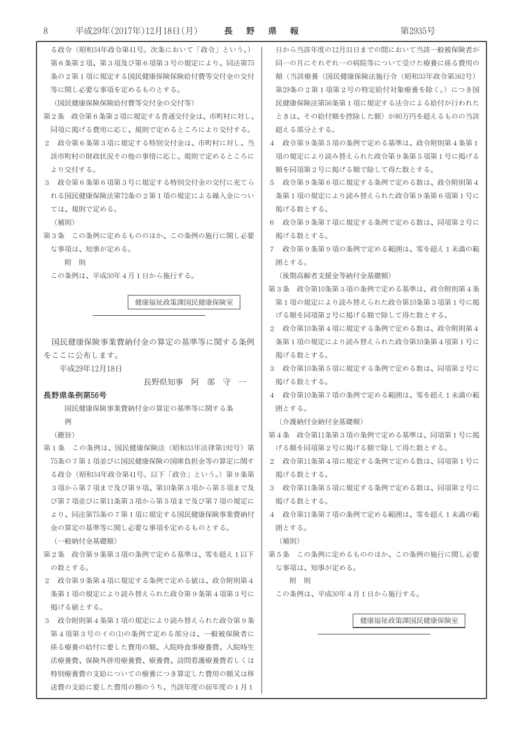| 8 | 平成29年(2017年)12月18日(月)<br>長                 | 野 | 県 | 報                              | 第2935号                          |
|---|--------------------------------------------|---|---|--------------------------------|---------------------------------|
|   | る政令(昭和34年政令第41号。次条において「政令」という。)            |   |   |                                | 日から当該年度の12月31日までの間において当該一般被保険者が |
|   | 第6条第2項、第3項及び第6項第3号の規定により、同法第75             |   |   |                                | 同一の月にそれぞれ一の病院等について受けた療養に係る費用の   |
|   | 条の2第1項に規定する国民健康保険保険給付費等交付金の交付              |   |   |                                | 額(当該療養(国民健康保険法施行令(昭和33年政令第362号) |
|   | 等に関し必要な事項を定めるものとする。                        |   |   |                                | 第29条の2第1項第2号の特定給付対象療養を除く。)につき国  |
|   | (国民健康保険保険給付費等交付金の交付等)                      |   |   | 民健康保険法第56条第1項に規定する法令による給付が行われた |                                 |
|   | 第2条 政令第6条第2項に規定する普通交付金は、市町村に対し、            |   |   |                                | ときは、その給付額を控除した額)が80万円を超えるものの当該  |
|   | 同項に掲げる費用に応じ、規則で定めるところにより交付する。              |   |   | 超える部分とする。                      |                                 |
|   | 2 政令第6条第3項に規定する特別交付金は、市町村に対し、当             |   |   |                                | 4 政令第9条第5項の条例で定める基準は、政令附則第4条第1  |
|   | 該市町村の財政状況その他の事情に応じ、規則で定めるところに              |   |   |                                | 項の規定により読み替えられた政令第9条第5項第1号に掲げる   |
|   | より交付する。                                    |   |   |                                | 額を同項第2号に掲げる額で除して得た数とする。         |
|   | 3 政令第6条第6項第3号に規定する特別交付金の交付に充てら             |   |   |                                | 5 政令第9条第6項に規定する条例で定める数は、政令附則第4  |
|   | れる国民健康保険法第72条の2第1項の規定による繰入金につい             |   |   |                                | 条第1項の規定により読み替えられた政令第9条第6項第1号に   |
|   | ては、規則で定める。                                 |   |   | 掲げる数とする。                       |                                 |
|   | (補則)                                       |   |   |                                | 6 政令第9条第7項に規定する条例で定める数は、同項第2号に  |
|   | 第3条 この条例に定めるもののほか、この条例の施行に関し必要             |   |   | 掲げる数とする。                       |                                 |
|   | な事項は、知事が定める。                               |   |   |                                | 7 政令第9条第9項の条例で定める範囲は、零を超え1未満の範  |
|   | 附則                                         |   |   | 用とする。                          |                                 |
|   | この条例は、平成30年4月1日から施行する。                     |   |   |                                | (後期高齢者支援金等納付金基礎額)               |
|   |                                            |   |   |                                | 第3条 政令第10条第3項の条例で定める基準は、政令附則第4条 |
|   | 健康福祉政策課国民健康保険室                             |   |   |                                | 第1項の規定により読み替えられた政令第10条第3項第1号に掲  |
|   |                                            |   |   |                                | げる額を同項第2号に掲げる額で除して得た数とする。       |
|   |                                            |   |   |                                | 2 政令第10条第4項に規定する条例で定める数は、政令附則第4 |
|   | 国民健康保険事業費納付金の算定の基準等に関する条例                  |   |   |                                | 条第1項の規定により読み替えられた政令第10条第4項第1号に  |
|   | をここに公布します。                                 |   |   | 掲げる数とする。                       |                                 |
|   | 平成29年12月18日                                |   |   |                                | 3 政令第10条第5項に規定する条例で定める数は、同項第2号に |
|   | 長野県知事<br>阿部守一                              |   |   | 掲げる数とする。                       |                                 |
|   | 長野県条例第56号                                  |   |   |                                | 4 政令第10条第7項の条例で定める範囲は、零を超え1未満の範 |
|   | 国民健康保険事業費納付金の算定の基準等に関する条                   |   |   | 囲とする。                          |                                 |
|   | 例                                          |   |   | (介護納付金納付金基礎額)                  |                                 |
|   | (趣旨)                                       |   |   |                                | 第4条 政令第11条第3項の条例で定める基準は、同項第1号に掲 |
|   | 第1条 この条例は、国民健康保険法(昭和33年法律第192号)第           |   |   |                                | げる額を同項第2号に掲げる額で除して得た数とする。       |
|   | 75条の7第1項並びに国民健康保険の国庫負担金等の算定に関す             |   |   |                                | 2 政令第11条第4項に規定する条例で定める数は、同項第1号に |
|   | る政令(昭和34年政令第41号。以下「政令」という。)第9条第            |   |   | 掲げる数とする。                       |                                 |
|   | 3項から第7項まで及び第9項、第10条第3項から第5項まで及             |   |   |                                | 3 政令第11条第5項に規定する条例で定める数は、同項第2号に |
|   | び第7項並びに第11条第3項から第5項まで及び第7項の規定に             |   |   | 掲げる数とする。                       |                                 |
|   | より、同法第75条の7第1項に規定する国民健康保険事業費納付             |   |   |                                | 4 政令第11条第7項の条例で定める範囲は、零を超え1未満の範 |
|   | 金の算定の基準等に関し必要な事項を定めるものとする。                 |   |   | 用とする。                          |                                 |
|   | (一般納付金基礎額)                                 |   |   | (補則)                           |                                 |
|   | 第2条 政令第9条第3項の条例で定める基準は、零を超え1以下             |   |   |                                | 第5条 この条例に定めるもののほか、この条例の施行に関し必要  |
|   | の数とする。<br>2 政令第9条第4項に規定する条例で定める値は、政令附則第4   |   |   | な事項は、知事が定める。                   |                                 |
|   |                                            |   |   | 附 則                            |                                 |
|   | 条第1項の規定により読み替えられた政令第9条第4項第3号に              |   |   |                                | この条例は、平成30年4月1日から施行する。          |
|   | 掲げる値とする。<br>3 政令附則第4条第1項の規定により読み替えられた政令第9条 |   |   |                                | 健康福祉政策課国民健康保険室                  |
|   | 第4項第3号のイの⑴の条例で定める部分は、一般被保険者に               |   |   |                                |                                 |
|   | 係る療養の給付に要した費用の額、入院時食事療養費、入院時生              |   |   |                                |                                 |
|   | 活療養費、保険外併用療養費、療養費、訪問看護療養費若しくは              |   |   |                                |                                 |
|   | 特別療養費の支給についての療養につき算定した費用の額又は移              |   |   |                                |                                 |
|   | 送費の支給に要した費用の額のうち、当該年度の前年度の1月1              |   |   |                                |                                 |
|   |                                            |   |   |                                |                                 |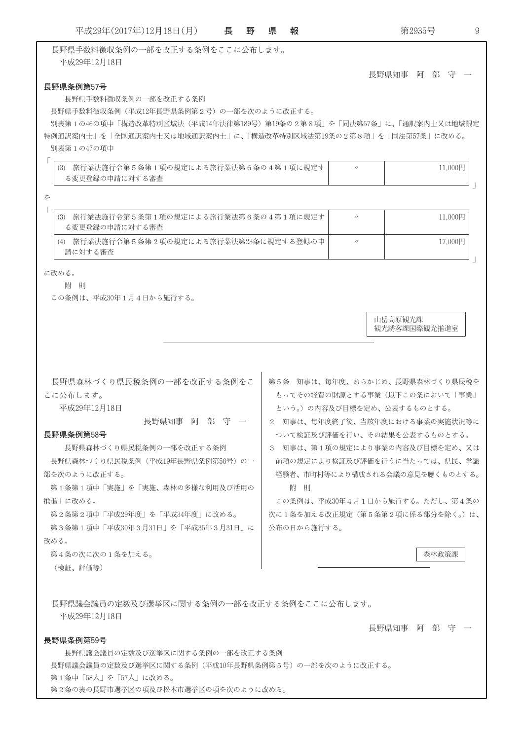| 平成29年(2017年)12月18日(月)                                                                                                                  | 長 | 野 | 県 | 報           | 第2935号                                                         | 9 |  |
|----------------------------------------------------------------------------------------------------------------------------------------|---|---|---|-------------|----------------------------------------------------------------|---|--|
| 長野県手数料徴収条例の一部を改正する条例をここに公布します。                                                                                                         |   |   |   |             |                                                                |   |  |
| 平成29年12月18日                                                                                                                            |   |   |   |             |                                                                |   |  |
|                                                                                                                                        |   |   |   |             | 長野県知事<br>阿部<br>一守                                              |   |  |
| 長野県条例第57号                                                                                                                              |   |   |   |             |                                                                |   |  |
| 長野県手数料徴収条例の一部を改正する条例<br>長野県手数料徴収条例(平成12年長野県条例第2号)の一部を次のように改正する。                                                                        |   |   |   |             |                                                                |   |  |
|                                                                                                                                        |   |   |   |             |                                                                |   |  |
| 別表第1の46の項中「構造改革特別区域法(平成14年法律第189号)第19条の2第8項」を「同法第57条」に、「通訳案内士又は地域限定<br>特例通訳案内士」を「全国通訳案内士又は地域通訳案内士」に、「構造改革特別区域法第19条の2第8項」を「同法第57条」に改める。 |   |   |   |             |                                                                |   |  |
| 別表第1の47の項中                                                                                                                             |   |   |   |             |                                                                |   |  |
| 旅行業法施行令第5条第1項の規定による旅行業法第6条の4第1項に規定す<br>(3)                                                                                             |   |   |   |             | 11,000円<br>$^{\prime\prime}$                                   |   |  |
| る変更登録の申請に対する審査                                                                                                                         |   |   |   |             |                                                                |   |  |
| を                                                                                                                                      |   |   |   |             |                                                                |   |  |
|                                                                                                                                        |   |   |   |             |                                                                |   |  |
| (3) 旅行業法施行令第5条第1項の規定による旅行業法第6条の4第1項に規定す<br>る変更登録の申請に対する審査                                                                              |   |   |   |             | 11,000円<br>$^{\prime\prime}$                                   |   |  |
| (4) 旅行業法施行令第5条第2項の規定による旅行業法第23条に規定する登録の申                                                                                               |   |   |   |             | 17,000円<br>$^{\prime\prime}$                                   |   |  |
| 請に対する審査                                                                                                                                |   |   |   |             |                                                                |   |  |
| に改める。                                                                                                                                  |   |   |   |             |                                                                |   |  |
| 附 則                                                                                                                                    |   |   |   |             |                                                                |   |  |
| この条例は、平成30年1月4日から施行する。                                                                                                                 |   |   |   |             |                                                                |   |  |
|                                                                                                                                        |   |   |   |             |                                                                |   |  |
|                                                                                                                                        |   |   |   |             | 山岳高原観光課<br>観光誘客課国際観光推進室                                        |   |  |
|                                                                                                                                        |   |   |   |             |                                                                |   |  |
|                                                                                                                                        |   |   |   |             |                                                                |   |  |
|                                                                                                                                        |   |   |   |             |                                                                |   |  |
| 長野県森林づくり県民税条例の一部を改正する条例をこ                                                                                                              |   |   |   |             | 第5条 知事は、毎年度、あらかじめ、長野県森林づくり県民税を                                 |   |  |
| こに公布します。                                                                                                                               |   |   |   |             | もってその経費の財源とする事業(以下この条において「事業」                                  |   |  |
| 平成29年12月18日                                                                                                                            |   |   |   |             | という。)の内容及び目標を定め、公表するものとする。                                     |   |  |
| 長野県知事 阿 部 守 一                                                                                                                          |   |   |   |             | 2 知事は、毎年度終了後、当該年度における事業の実施状況等に<br>ついて検証及び評価を行い、その結果を公表するものとする。 |   |  |
| 長野県条例第58号<br>長野県森林づくり県民税条例の一部を改正する条例                                                                                                   |   |   |   |             | 3 知事は、第1項の規定により事業の内容及び目標を定め、又は                                 |   |  |
| 長野県森林づくり県民税条例(平成19年長野県条例第58号)の一                                                                                                        |   |   |   |             | 前項の規定により検証及び評価を行うに当たっては、県民、学識                                  |   |  |
| 部を次のように改正する。                                                                                                                           |   |   |   |             | 経験者、市町村等により構成される会議の意見を聴くものとする。                                 |   |  |
| 第1条第1項中「実施」を「実施、森林の多様な利用及び活用の                                                                                                          |   |   |   | 附則          |                                                                |   |  |
| 推進」に改める。                                                                                                                               |   |   |   |             | この条例は、平成30年4月1日から施行する。ただし、第4条の                                 |   |  |
| 第2条第2項中「平成29年度」を「平成34年度」に改める。                                                                                                          |   |   |   |             | 次に1条を加える改正規定(第5条第2項に係る部分を除く。)は、                                |   |  |
| 第3条第1項中「平成30年3月31日」を「平成35年3月31日」に                                                                                                      |   |   |   | 公布の日から施行する。 |                                                                |   |  |
| 改める。                                                                                                                                   |   |   |   |             |                                                                |   |  |
| 第4条の次に次の1条を加える。                                                                                                                        |   |   |   |             | 森林政策課                                                          |   |  |
| (検証、評価等)                                                                                                                               |   |   |   |             |                                                                |   |  |
|                                                                                                                                        |   |   |   |             |                                                                |   |  |
| 長野県議会議員の定数及び選挙区に関する条例の一部を改正する条例をここに公布します。                                                                                              |   |   |   |             |                                                                |   |  |
| 平成29年12月18日                                                                                                                            |   |   |   |             |                                                                |   |  |
|                                                                                                                                        |   |   |   |             | 長野県知事 阿 部 守                                                    |   |  |
| 長野県条例第59号                                                                                                                              |   |   |   |             |                                                                |   |  |
| 長野県議会議員の定数及び選挙区に関する条例の一部を改正する条例                                                                                                        |   |   |   |             |                                                                |   |  |
| 長野県議会議員の定数及び選挙区に関する条例(平成10年長野県条例第5号)の一部を次のように改正する。<br>第1条中「58人」を「57人」に改める。                                                             |   |   |   |             |                                                                |   |  |
| 第2条の表の長野市選挙区の項及び松本市選挙区の項を次のように改める。                                                                                                     |   |   |   |             |                                                                |   |  |